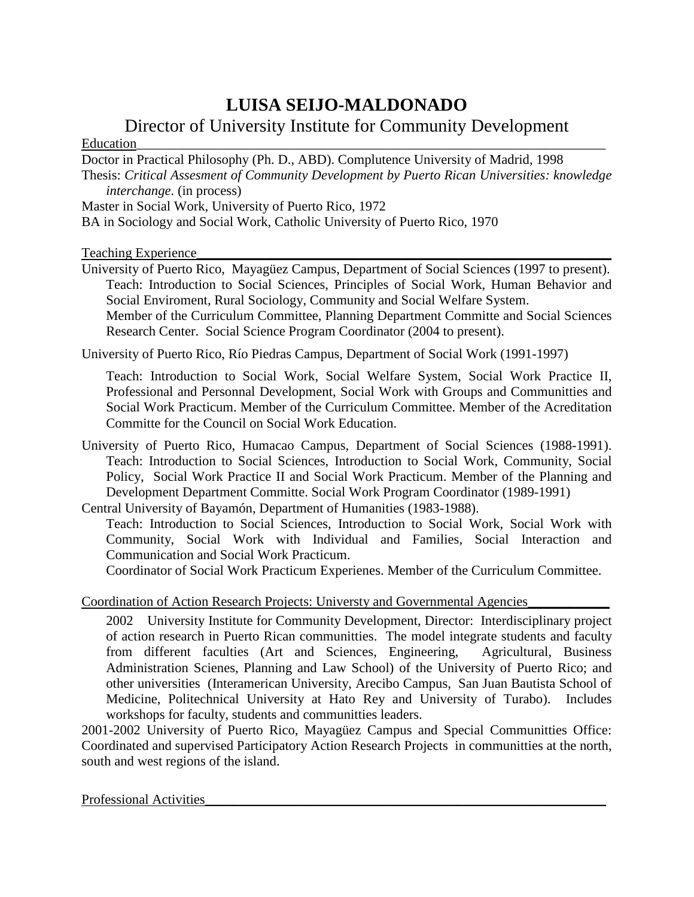# **LUISA SEIJO-MALDONADO**

## Director of University Institute for Community Development

#### $Education$

Doctor in Practical Philosophy (Ph. D., ABD). Complutence University of Madrid, 1998

Thesis: *Critical Assesment of Community Development by Puerto Rican Universities: knowledge interchange*. (in process)

Master in Social Work, University of Puerto Rico, 1972

BA in Sociology and Social Work, Catholic University of Puerto Rico, 1970

Teaching Experience

University of Puerto Rico, Mayagüez Campus, Department of Social Sciences (1997 to present). Teach: Introduction to Social Sciences, Principles of Social Work, Human Behavior and Social Enviroment, Rural Sociology, Community and Social Welfare System. Member of the Curriculum Committee, Planning Department Committe and Social Sciences

Research Center. Social Science Program Coordinator (2004 to present).

University of Puerto Rico, Río Piedras Campus, Department of Social Work (1991-1997)

Teach: Introduction to Social Work, Social Welfare System, Social Work Practice II, Professional and Personnal Development, Social Work with Groups and Communitties and Social Work Practicum. Member of the Curriculum Committee. Member of the Acreditation Committe for the Council on Social Work Education.

University of Puerto Rico, Humacao Campus, Department of Social Sciences (1988-1991). Teach: Introduction to Social Sciences, Introduction to Social Work, Community, Social Policy, Social Work Practice II and Social Work Practicum. Member of the Planning and Development Department Committe. Social Work Program Coordinator (1989-1991)

Central University of Bayamón, Department of Humanities (1983-1988).

Teach: Introduction to Social Sciences, Introduction to Social Work, Social Work with Community, Social Work with Individual and Families, Social Interaction and Communication and Social Work Practicum.

Coordinator of Social Work Practicum Experienes. Member of the Curriculum Committee.

### Coordination of Action Research Projects: Universty and Governmental Agencies\_\_\_\_\_\_\_\_\_\_\_\_

2002 University Institute for Community Development, Director: Interdisciplinary project of action research in Puerto Rican communitties. The model integrate students and faculty from different faculties (Art and Sciences, Engineering, Agricultural, Business Administration Scienes, Planning and Law School) of the University of Puerto Rico; and other universities (Interamerican University, Arecibo Campus, San Juan Bautista School of Medicine, Politechnical University at Hato Rey and University of Turabo). Includes workshops for faculty, students and communitties leaders.

2001-2002 University of Puerto Rico, Mayagüez Campus and Special Communitties Office: Coordinated and supervised Participatory Action Research Projects in communitties at the north, south and west regions of the island.

#### Professional Activities